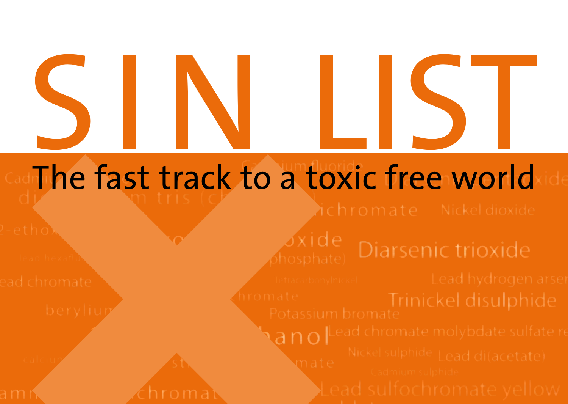# **SINLIST**<br>The fast track to a toxic free world

### The fast track to a toxic free world

 $\alpha$ xide

 $\mathbf{A}$ no | Lead chromate molybdate sulfate re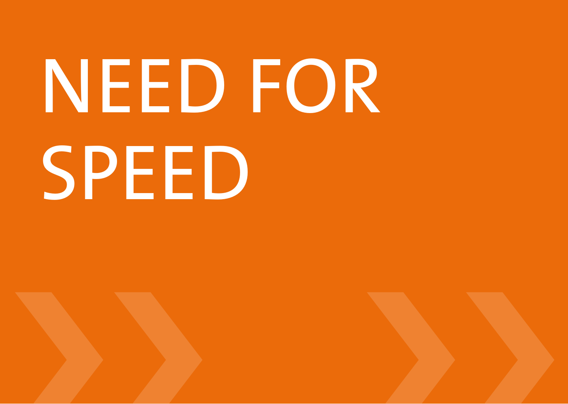### NEED FOR **SPEED**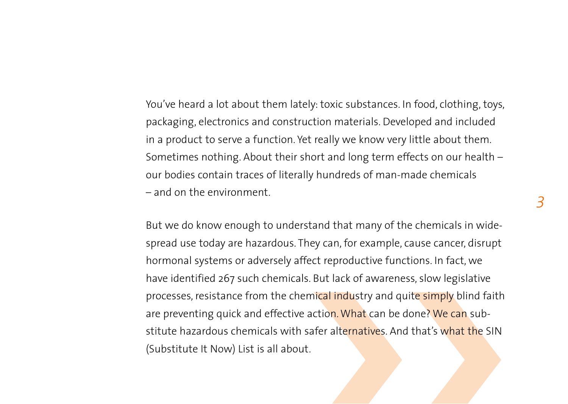You've heard a lot about them lately: toxic substances. In food, clothing, toys, packaging, electronics and construction materials. Developed and included in a product to serve a function. Yet really we know very little about them. Sometimes nothing. About their short and long term effects on our health – our bodies contain traces of literally hundreds of man-made chemicals – and on the environment.

But we do know enough to understand that many of the chemicals in widespread use today are hazardous. They can, for example, cause cancer, disrupt hormonal systems or adversely affect reproductive functions. In fact, we have identified 267 such chemicals. But lack of awareness, slow legislative processes, resistance from the chemical industry and quite simply blind faith are preventing quick and effective action. What can be done? We can substitute hazardous chemicals with safer alternatives. And that's what the SIN (Substitute It Now) List is all about.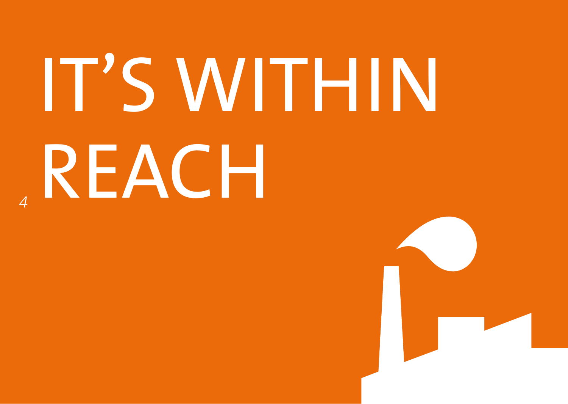## **IT'S WITHIN** *4*REACH

**The Company of the Company**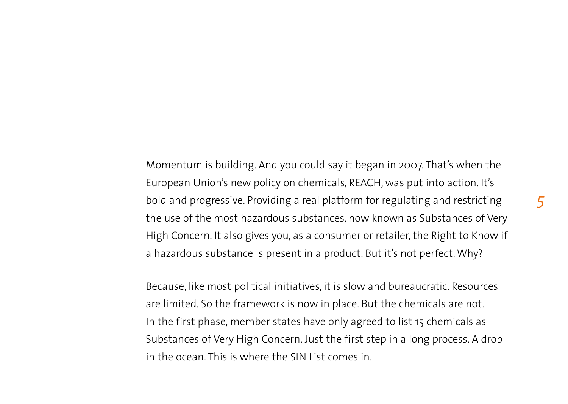Momentum is building. And you could say it began in 2007. That's when the European Union's new policy on chemicals, REACH, was put into action. It's bold and progressive. Providing a real platform for regulating and restricting the use of the most hazardous substances, now known as Substances of Very High Concern. It also gives you, as a consumer or retailer, the Right to Know if a hazardous substance is present in a product. But it's not perfect. Why?

Because, like most political initiatives, it is slow and bureaucratic. Resources are limited. So the framework is now in place. But the chemicals are not. In the first phase, member states have only agreed to list 15 chemicals as Substances of Very High Concern. Just the first step in a long process. A drop in the ocean. This is where the SIN List comes in.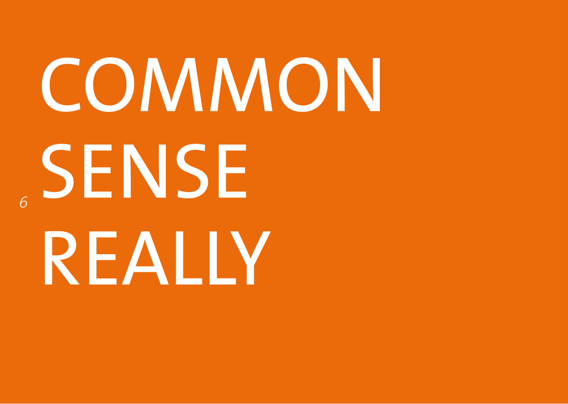## common sense *6*really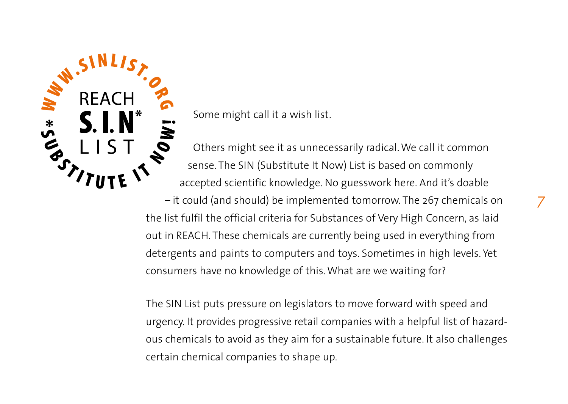

Some might call it a wish list.

Others might see it as unnecessarily radical. We call it common sense. The SIN (Substitute It Now) List is based on commonly accepted scientific knowledge. No guesswork here. And it's doable

– it could (and should) be implemented tomorrow. The 267 chemicals on the list fulfil the official criteria for Substances of Very High Concern, as laid out in REACH. These chemicals are currently being used in everything from detergents and paints to computers and toys. Sometimes in high levels. Yet consumers have no knowledge of this. What are we waiting for?

The SIN List puts pressure on legislators to move forward with speed and urgency. It provides progressive retail companies with a helpful list of hazardous chemicals to avoid as they aim for a sustainable future. It also challenges certain chemical companies to shape up.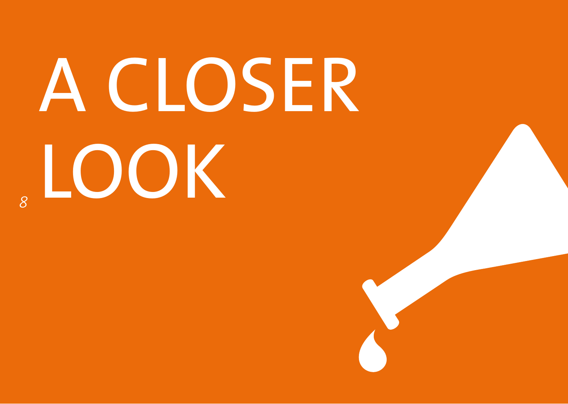### A closer *<sup>8</sup>* look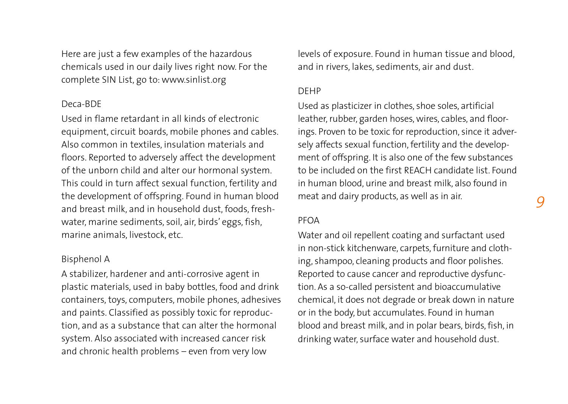Here are just a few examples of the hazardous chemicals used in our daily lives right now. For the complete SIN List, go to: www.sinlist.org

### Deca-BDE

Used in flame retardant in all kinds of electronic equipment, circuit boards, mobile phones and cables. Also common in textiles, insulation materials and floors. Reported to adversely affect the development of the unborn child and alter our hormonal system. This could in turn affect sexual function, fertility and the development of offspring. Found in human blood and breast milk, and in household dust, foods, freshwater, marine sediments, soil, air, birds' eggs, fish, marine animals, livestock, etc.

### Bisphenol A

A stabilizer, hardener and anti-corrosive agent in plastic materials, used in baby bottles, food and drink containers, toys, computers, mobile phones, adhesives and paints. Classified as possibly toxic for reproduction, and as a substance that can alter the hormonal system. Also associated with increased cancer risk and chronic health problems – even from very low

levels of exposure. Found in human tissue and blood, and in rivers, lakes, sediments, air and dust.

### DEHP

Used as plasticizer in clothes, shoe soles, artificial leather, rubber, garden hoses, wires, cables, and floorings. Proven to be toxic for reproduction, since it adversely affects sexual function, fertility and the development of offspring. It is also one of the few substances to be included on the first REACH candidate list. Found in human blood, urine and breast milk, also found in meat and dairy products, as well as in air.

### PFOA

Water and oil repellent coating and surfactant used in non-stick kitchenware, carpets, furniture and clothing, shampoo, cleaning products and floor polishes. Reported to cause cancer and reproductive dysfunction. As a so-called persistent and bioaccumulative chemical, it does not degrade or break down in nature or in the body, but accumulates. Found in human blood and breast milk, and in polar bears, birds, fish, in drinking water, surface water and household dust.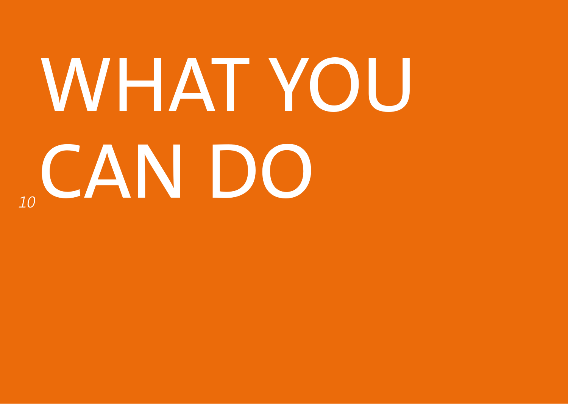## what you **10can DO**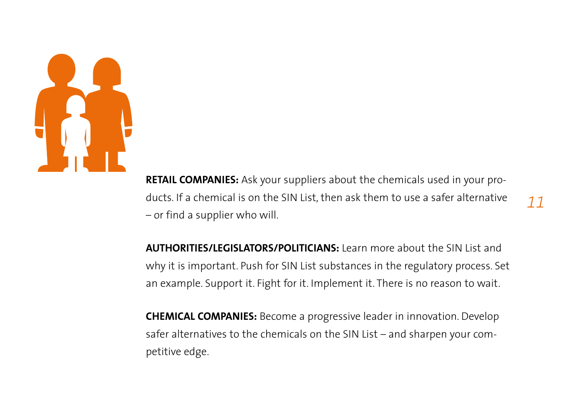

**Retail companies:** Ask your suppliers about the chemicals used in your products. If a chemical is on the SIN List, then ask them to use a safer alternative – or find a supplier who will.

**Authorities/Legislators/Politicians:** Learn more about the SIN List and why it is important. Push for SIN List substances in the regulatory process. Set an example. Support it. Fight for it. Implement it. There is no reason to wait.

**Chemical companies:** Become a progressive leader in innovation. Develop safer alternatives to the chemicals on the SIN List – and sharpen your competitive edge.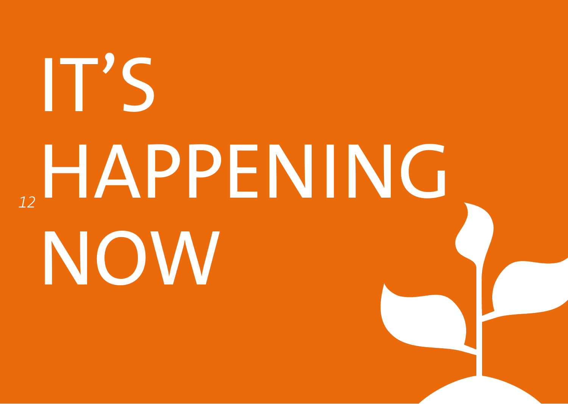# It's happening *12*now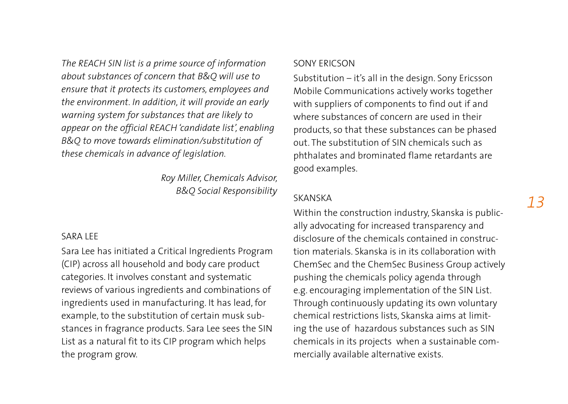*The REACH SIN list is a prime source of information about substances of concern that B&Q will use to ensure that it protects its customers, employees and the environment. In addition, it will provide an early warning system for substances that are likely to appear on the official REACH 'candidate list', enabling B&Q to move towards elimination/substitution of these chemicals in advance of legislation.*

> *Roy Miller, Chemicals Advisor, B&Q Social Responsibility*

### SARA LEE

Sara Lee has initiated a Critical Ingredients Program (CIP) across all household and body care product categories. It involves constant and systematic reviews of various ingredients and combinations of ingredients used in manufacturing. It has lead, for example, to the substitution of certain musk substances in fragrance products. Sara Lee sees the SIN List as a natural fit to its CIP program which helps the program grow.

### Sony Ericson

Substitution – it's all in the design. Sony Ericsson Mobile Communications actively works together with suppliers of components to find out if and where substances of concern are used in their products, so that these substances can be phased out. The substitution of SIN chemicals such as phthalates and brominated flame retardants are good examples.

### Skanska

Within the construction industry, Skanska is publically advocating for increased transparency and disclosure of the chemicals contained in construction materials. Skanska is in its collaboration with ChemSec and the ChemSec Business Group actively pushing the chemicals policy agenda through e.g. encouraging implementation of the SIN List. Through continuously updating its own voluntary chemical restrictions lists, Skanska aims at limiting the use of hazardous substances such as SIN chemicals in its projects when a sustainable commercially available alternative exists.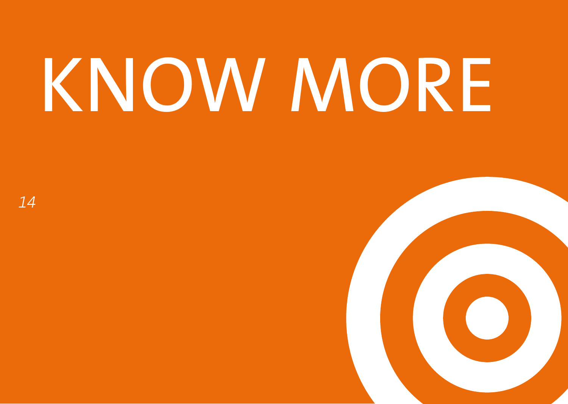### **KNOW MORE**

*14*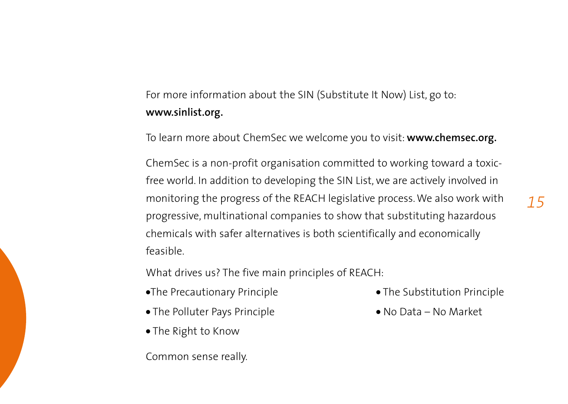### For more information about the SIN (Substitute It Now) List, go to: **www.sinlist.org.**

To learn more about ChemSec we welcome you to visit: **www.chemsec.org.** 

ChemSec is a non-profit organisation committed to working toward a toxicfree world. In addition to developing the SIN List, we are actively involved in monitoring the progress of the REACH legislative process. We also work with progressive, multinational companies to show that substituting hazardous chemicals with safer alternatives is both scientifically and economically feasible.

What drives us? The five main principles of REACH:

- •The Precautionary Principle The Substitution Principle
- The Polluter Pays Principle No Data No Market
- The Right to Know

Common sense really.

- 
-